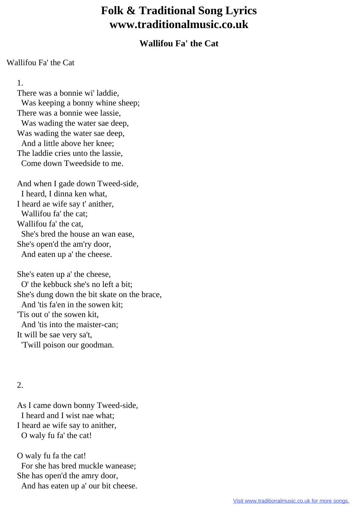## **Folk & Traditional Song Lyrics www.traditionalmusic.co.uk**

## **Wallifou Fa' the Cat**

## Wallifou Fa' the Cat

1.

 There was a bonnie wi' laddie, Was keeping a bonny whine sheep; There was a bonnie wee lassie, Was wading the water sae deep, Was wading the water sae deep, And a little above her knee; The laddie cries unto the lassie, Come down Tweedside to me.

 And when I gade down Tweed-side, I heard, I dinna ken what, I heard ae wife say t' anither, Wallifou fa' the cat; Wallifou fa' the cat, She's bred the house an wan ease, She's open'd the am'ry door, And eaten up a' the cheese.

 She's eaten up a' the cheese, O' the kebbuck she's no left a bit; She's dung down the bit skate on the brace, And 'tis fa'en in the sowen kit; 'Tis out o' the sowen kit, And 'tis into the maister-can; It will be sae very sa't, 'Twill poison our goodman.

## 2.

 As I came down bonny Tweed-side, I heard and I wist nae what; I heard ae wife say to anither, O waly fu fa' the cat!

 O waly fu fa the cat! For she has bred muckle wanease; She has open'd the amry door, And has eaten up a' our bit cheese.